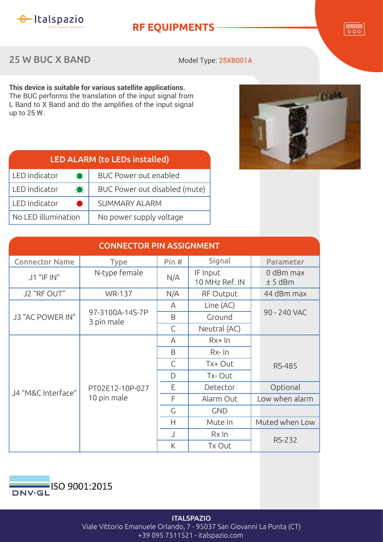

## **RF EQUIPMENTS**

## 25 W BUC X BAND

Model Type: 25XB001A

**This device is suitable for various satellite applications.** The BUC performs the translation of the input signal from L Band to X Band and do the amplifies of the input signal up to  $25$  W.

| <b>LED ALARM (to LEDs installed)</b> |                               |  |  |  |
|--------------------------------------|-------------------------------|--|--|--|
| LED indicator                        | <b>BUC Power out enabled</b>  |  |  |  |
| $\rightarrow$<br>LED indicator       | BUC Power out disabled (mute) |  |  |  |
| LED indicator                        | <b>SUMMARY ALARM</b>          |  |  |  |
| No LED illumination                  | No power supply voltage       |  |  |  |

| <b>CONNECTOR PIN ASSIGNMENT</b> |                                |              |                            |                        |  |  |  |
|---------------------------------|--------------------------------|--------------|----------------------------|------------------------|--|--|--|
| <b>Connector Name</b>           | <b>Type</b>                    | Pin#         | Signal                     | Parameter              |  |  |  |
| J1 "IF IN"                      | N-type female                  | N/A          | IF Input<br>10 MHz Ref. IN | 0 dBm max<br>$± 5$ dBm |  |  |  |
| J2 "RF OUT"                     | <b>WR-137</b>                  | N/A          | RF Output                  | 44 dBm max             |  |  |  |
| J3 "AC POWER IN"                |                                | Α            | Line (AC)                  | 90 - 240 VAC           |  |  |  |
|                                 | 97-3100A-14S-7P<br>3 pin male  | B            | Ground                     |                        |  |  |  |
|                                 |                                | $\mathsf{C}$ | Neutral (AC)               |                        |  |  |  |
| J4 "M&C Interface"              | PT02E12-10P-027<br>10 pin male | A            | $Rx+In$                    |                        |  |  |  |
|                                 |                                | B            | $Rx$ - $In$                |                        |  |  |  |
|                                 |                                | $\mathsf{C}$ | Tx+ Out                    | <b>RS-485</b>          |  |  |  |
|                                 |                                | D            | Tx-Out                     |                        |  |  |  |
|                                 |                                | E            | Detector                   | Optional               |  |  |  |
|                                 |                                | F            | Alarm Out                  | Low when alarm         |  |  |  |
|                                 |                                | G            | <b>GND</b>                 |                        |  |  |  |
|                                 |                                | H            | Mute In                    | Muted when Low         |  |  |  |
|                                 |                                | $\cup$       | Rx In                      |                        |  |  |  |
|                                 |                                | K            | Tx Out                     | <b>RS-232</b>          |  |  |  |



**ITALSPAZIO** Viale Vittorio Emanuele Orlando, 7 - 95037 San Giovanni La Punta (CT) +39 095 7511521 - italspazio.com